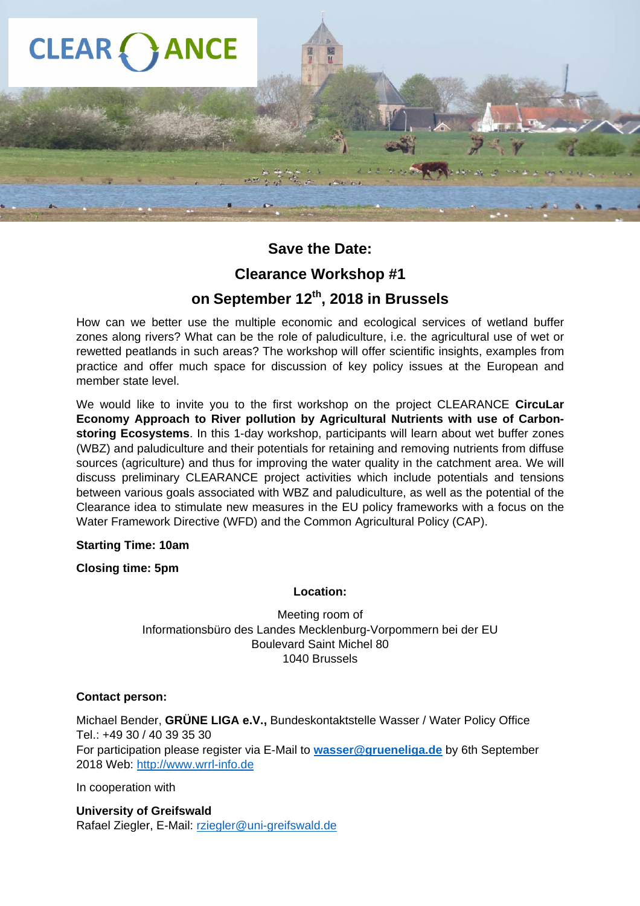

## **Save the Date:**

### **Clearance Workshop #1**

## **on September 12th, 2018 in Brussels**

How can we better use the multiple economic and ecological services of wetland buffer zones along rivers? What can be the role of paludiculture, i.e. the agricultural use of wet or rewetted peatlands in such areas? The workshop will offer scientific insights, examples from practice and offer much space for discussion of key policy issues at the European and member state level.

We would like to invite you to the first workshop on the project CLEARANCE **CircuLar Economy Approach to River pollution by Agricultural Nutrients with use of Carbonstoring Ecosystems**. In this 1-day workshop, participants will learn about wet buffer zones (WBZ) and paludiculture and their potentials for retaining and removing nutrients from diffuse sources (agriculture) and thus for improving the water quality in the catchment area. We will discuss preliminary CLEARANCE project activities which include potentials and tensions between various goals associated with WBZ and paludiculture, as well as the potential of the Clearance idea to stimulate new measures in the EU policy frameworks with a focus on the Water Framework Directive (WFD) and the Common Agricultural Policy (CAP).

#### **Starting Time: 10am**

#### **Closing time: 5pm**

#### **Location:**

Meeting room of Informationsbüro des Landes Mecklenburg-Vorpommern bei der EU Boulevard Saint Michel 80 1040 Brussels

#### **Contact person:**

Michael Bender, **GRÜNE LIGA e.V.,** Bundeskontaktstelle Wasser / Water Policy Office Tel.: +49 30 / 40 39 35 30 For participation please register via E-Mail to **wasser@grueneliga.de** by 6th September 2018 Web: http://www.wrrl-info.de

In cooperation with

**University of Greifswald**  Rafael Ziegler, E-Mail: rziegler@uni-greifswald.de